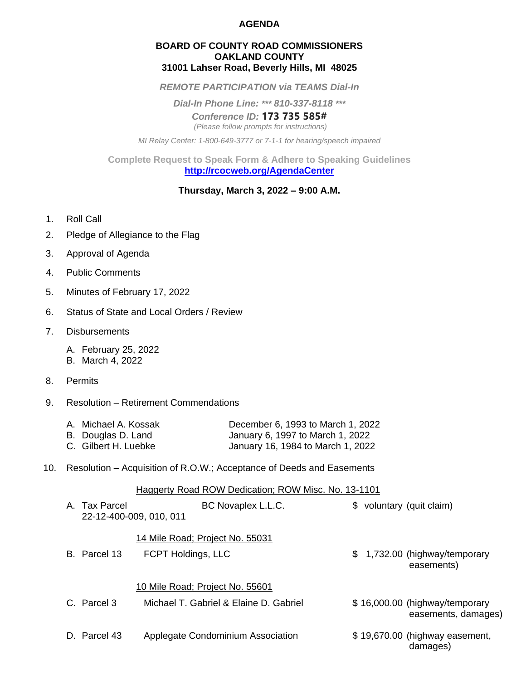## **AGENDA**

### **BOARD OF COUNTY ROAD COMMISSIONERS OAKLAND COUNTY 31001 Lahser Road, Beverly Hills, MI 48025**

*REMOTE PARTICIPATION via TEAMS Dial-In*

*Dial-In Phone Line: \*\*\* 810-337-8118 \*\*\**

*Conference ID:* **173 735 585#** *(Please follow prompts for instructions)*

*MI Relay Center: 1-800-649-3777 or 7-1-1 for hearing/speech impaired*

**Complete Request to Speak Form & Adhere to Speaking Guidelines <http://rcocweb.org/AgendaCenter>**

# **Thursday, March 3, 2022 – 9:00 A.M.**

- 1. Roll Call
- 2. Pledge of Allegiance to the Flag
- 3. Approval of Agenda
- 4. Public Comments
- 5. Minutes of February 17, 2022
- 6. Status of State and Local Orders / Review
- 7. Disbursements
	- A. February 25, 2022
	- B. March 4, 2022
- 8. Permits
- 9. Resolution Retirement Commendations

| A. Michael A. Kossak | December 6, 1993 to March 1, 2022 |
|----------------------|-----------------------------------|
| B. Douglas D. Land   | January 6, 1997 to March 1, 2022  |
| C. Gilbert H. Luebke | January 16, 1984 to March 1, 2022 |

10. Resolution – Acquisition of R.O.W.; Acceptance of Deeds and Easements

Haggerty Road ROW Dedication; ROW Misc. No. 13-1101

| A. Tax Parcel | BC Novaplex L.L.C.<br>22-12-400-009, 010, 011         | \$ voluntary (quit claim)                             |
|---------------|-------------------------------------------------------|-------------------------------------------------------|
| B. Parcel 13  | 14 Mile Road; Project No. 55031<br>FCPT Holdings, LLC | \$ 1,732.00 (highway/temporary<br>easements)          |
|               | 10 Mile Road; Project No. 55601                       |                                                       |
| C. Parcel 3   | Michael T. Gabriel & Elaine D. Gabriel                | \$16,000.00 (highway/temporary<br>easements, damages) |
| D. Parcel 43  | Applegate Condominium Association                     | \$19,670.00 (highway easement,<br>damages)            |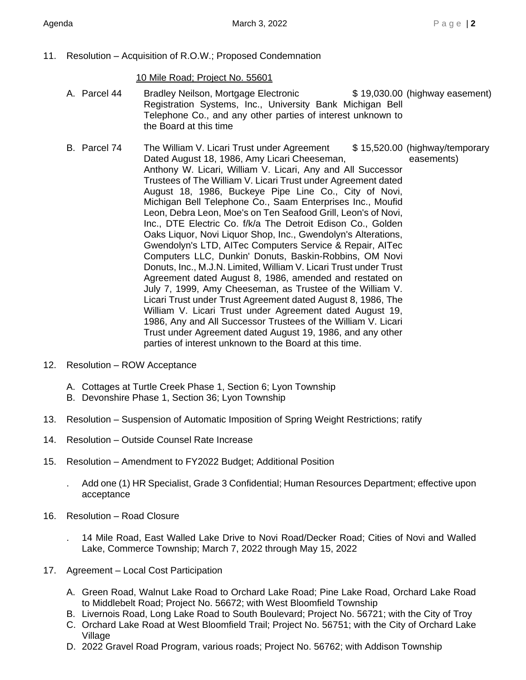11. Resolution – Acquisition of R.O.W.; Proposed Condemnation

10 Mile Road; Project No. 55601

- A. Parcel 44 Bradley Neilson, Mortgage Electronic  $$ 19,030.00$  (highway easement) Registration Systems, Inc., University Bank Michigan Bell Telephone Co., and any other parties of interest unknown to the Board at this time
- B. Parcel 74 The William V. Licari Trust under Agreement \$ 15,520.00 (highway/temporary Dated August 18, 1986, Amy Licari Cheeseman, easements) Anthony W. Licari, William V. Licari, Any and All Successor Trustees of The William V. Licari Trust under Agreement dated August 18, 1986, Buckeye Pipe Line Co., City of Novi, Michigan Bell Telephone Co., Saam Enterprises Inc., Moufid Leon, Debra Leon, Moe's on Ten Seafood Grill, Leon's of Novi, Inc., DTE Electric Co. f/k/a The Detroit Edison Co., Golden Oaks Liquor, Novi Liquor Shop, Inc., Gwendolyn's Alterations, Gwendolyn's LTD, AITec Computers Service & Repair, AITec Computers LLC, Dunkin' Donuts, Baskin-Robbins, OM Novi Donuts, Inc., M.J.N. Limited, William V. Licari Trust under Trust Agreement dated August 8, 1986, amended and restated on July 7, 1999, Amy Cheeseman, as Trustee of the William V. Licari Trust under Trust Agreement dated August 8, 1986, The William V. Licari Trust under Agreement dated August 19, 1986, Any and All Successor Trustees of the William V. Licari Trust under Agreement dated August 19, 1986, and any other parties of interest unknown to the Board at this time.
- 12. Resolution ROW Acceptance
	- A. Cottages at Turtle Creek Phase 1, Section 6; Lyon Township
	- B. Devonshire Phase 1, Section 36; Lyon Township
- 13. Resolution Suspension of Automatic Imposition of Spring Weight Restrictions; ratify
- 14. Resolution Outside Counsel Rate Increase
- 15. Resolution Amendment to FY2022 Budget; Additional Position
	- . Add one (1) HR Specialist, Grade 3 Confidential; Human Resources Department; effective upon acceptance
- 16. Resolution Road Closure
	- . 14 Mile Road, East Walled Lake Drive to Novi Road/Decker Road; Cities of Novi and Walled Lake, Commerce Township; March 7, 2022 through May 15, 2022
- 17. Agreement Local Cost Participation
	- A. Green Road, Walnut Lake Road to Orchard Lake Road; Pine Lake Road, Orchard Lake Road to Middlebelt Road; Project No. 56672; with West Bloomfield Township
	- B. Livernois Road, Long Lake Road to South Boulevard; Project No. 56721; with the City of Troy
	- C. Orchard Lake Road at West Bloomfield Trail; Project No. 56751; with the City of Orchard Lake Village
	- D. 2022 Gravel Road Program, various roads; Project No. 56762; with Addison Township